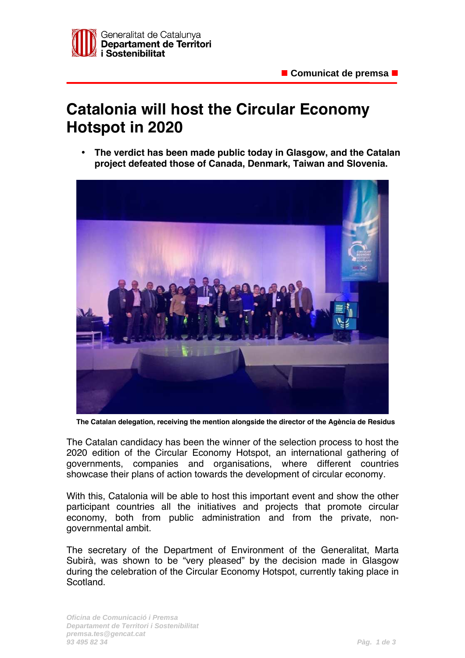

## **Catalonia will host the Circular Economy Hotspot in 2020**

• **The verdict has been made public today in Glasgow, and the Catalan project defeated those of Canada, Denmark, Taiwan and Slovenia.** 



**The Catalan delegation, receiving the mention alongside the director of the Agència de Residus**

The Catalan candidacy has been the winner of the selection process to host the 2020 edition of the Circular Economy Hotspot, an international gathering of governments, companies and organisations, where different countries showcase their plans of action towards the development of circular economy.

With this, Catalonia will be able to host this important event and show the other participant countries all the initiatives and projects that promote circular economy, both from public administration and from the private, nongovernmental ambit.

The secretary of the Department of Environment of the Generalitat, Marta Subirà, was shown to be "very pleased" by the decision made in Glasgow during the celebration of the Circular Economy Hotspot, currently taking place in Scotland.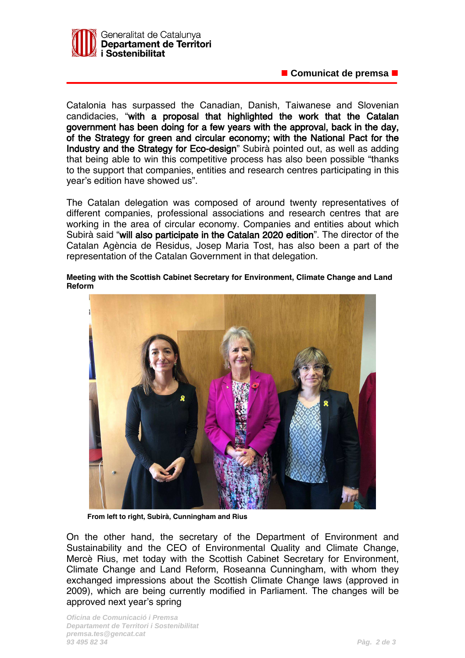

■ Comunicat de premsa ■

Catalonia has surpassed the Canadian, Danish, Taiwanese and Slovenian candidacies, "with a proposal that highlighted the work that the Catalan government has been doing for a few years with the approval, back in the day, of the Strategy for green and circular economy; with the National Pact for the Industry and the Strategy for Eco-design" Subirà pointed out, as well as adding that being able to win this competitive process has also been possible "thanks to the support that companies, entities and research centres participating in this year's edition have showed us".

The Catalan delegation was composed of around twenty representatives of different companies, professional associations and research centres that are working in the area of circular economy. Companies and entities about which Subirà said "will also participate in the Catalan 2020 edition". The director of the Catalan Agència de Residus, Josep Maria Tost, has also been a part of the representation of the Catalan Government in that delegation.

**Meeting with the Scottish Cabinet Secretary for Environment, Climate Change and Land Reform**



**From left to right, Subirà, Cunningham and Rius**

On the other hand, the secretary of the Department of Environment and Sustainability and the CEO of Environmental Quality and Climate Change, Mercè Rius, met today with the Scottish Cabinet Secretary for Environment, Climate Change and Land Reform, Roseanna Cunningham, with whom they exchanged impressions about the Scottish Climate Change laws (approved in 2009), which are being currently modified in Parliament. The changes will be approved next year's spring

**Oficina de Comunicació i Premsa Departament de Territori i Sostenibilitat premsa.tes@gencat.cat 93 495 82 34 Pàg. 2 de 3**